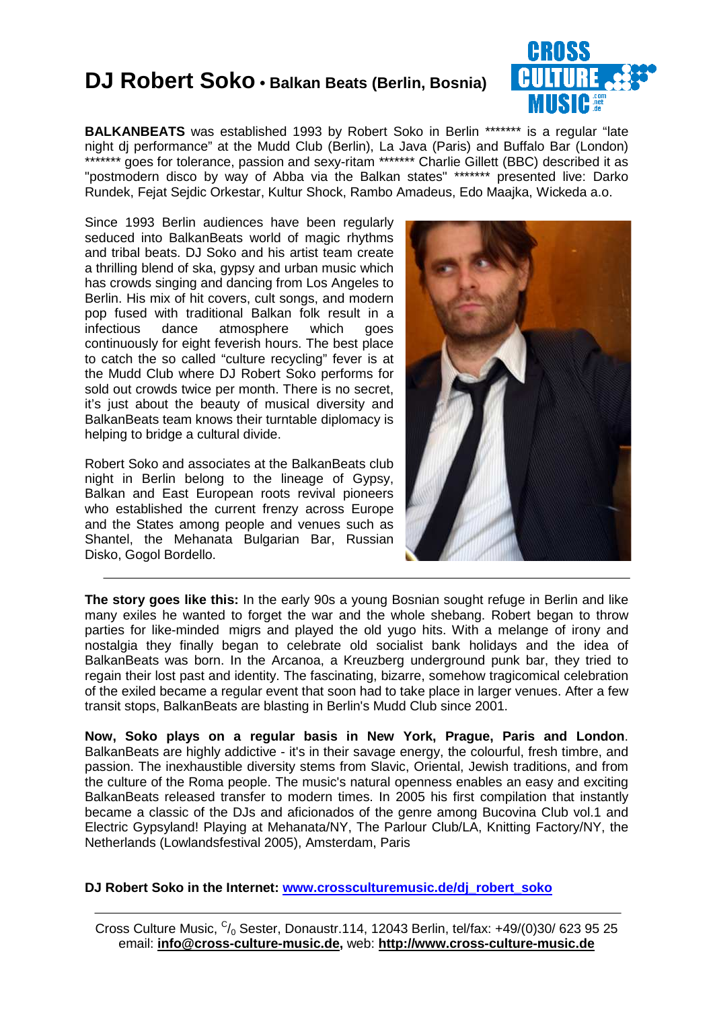### **DJ Robert Soko • Balkan Beats (Berlin, Bosnia)**



**BALKANBEATS** was established 1993 by Robert Soko in Berlin \*\*\*\*\*\*\*\* is a regular "late night dj performance" at the Mudd Club (Berlin), La Java (Paris) and Buffalo Bar (London) \*\*\*\*\*\*\* goes for tolerance, passion and sexy-ritam \*\*\*\*\*\*\* Charlie Gillett (BBC) described it as "postmodern disco by way of Abba via the Balkan states" \*\*\*\*\*\*\* presented live: Darko Rundek, Fejat Sejdic Orkestar, Kultur Shock, Rambo Amadeus, Edo Maajka, Wickeda a.o.

Since 1993 Berlin audiences have been regularly seduced into BalkanBeats world of magic rhythms and tribal beats. DJ Soko and his artist team create a thrilling blend of ska, gypsy and urban music which has crowds singing and dancing from Los Angeles to Berlin. His mix of hit covers, cult songs, and modern pop fused with traditional Balkan folk result in a infectious dance atmosphere which goes continuously for eight feverish hours. The best place to catch the so called "culture recycling" fever is at the Mudd Club where DJ Robert Soko performs for sold out crowds twice per month. There is no secret, it's just about the beauty of musical diversity and BalkanBeats team knows their turntable diplomacy is helping to bridge a cultural divide.

Robert Soko and associates at the BalkanBeats club night in Berlin belong to the lineage of Gypsy, Balkan and East European roots revival pioneers who established the current frenzy across Europe and the States among people and venues such as Shantel, the Mehanata Bulgarian Bar, Russian Disko, Gogol Bordello.



**The story goes like this:** In the early 90s a young Bosnian sought refuge in Berlin and like many exiles he wanted to forget the war and the whole shebang. Robert began to throw parties for like-minded migrs and played the old yugo hits. With a melange of irony and nostalgia they finally began to celebrate old socialist bank holidays and the idea of BalkanBeats was born. In the Arcanoa, a Kreuzberg underground punk bar, they tried to regain their lost past and identity. The fascinating, bizarre, somehow tragicomical celebration of the exiled became a regular event that soon had to take place in larger venues. After a few transit stops, BalkanBeats are blasting in Berlin's Mudd Club since 2001.

**Now, Soko plays on a regular basis in New York, Prague, Paris and London**. BalkanBeats are highly addictive - it's in their savage energy, the colourful, fresh timbre, and passion. The inexhaustible diversity stems from Slavic, Oriental, Jewish traditions, and from the culture of the Roma people. The music's natural openness enables an easy and exciting BalkanBeats released transfer to modern times. In 2005 his first compilation that instantly became a classic of the DJs and aficionados of the genre among Bucovina Club vol.1 and Electric Gypsyland! Playing at Mehanata/NY, The Parlour Club/LA, Knitting Factory/NY, the Netherlands (Lowlandsfestival 2005), Amsterdam, Paris

**DJ Robert Soko in the Internet: www.crossculturemusic.de/dj\_robert\_soko**

Cross Culture Music,  $C/0$  Sester, Donaustr.114, 12043 Berlin, tel/fax: +49/(0)30/ 623 95 25 email: **info@cross-culture-music.de,** web: **http://www.cross-culture-music.de**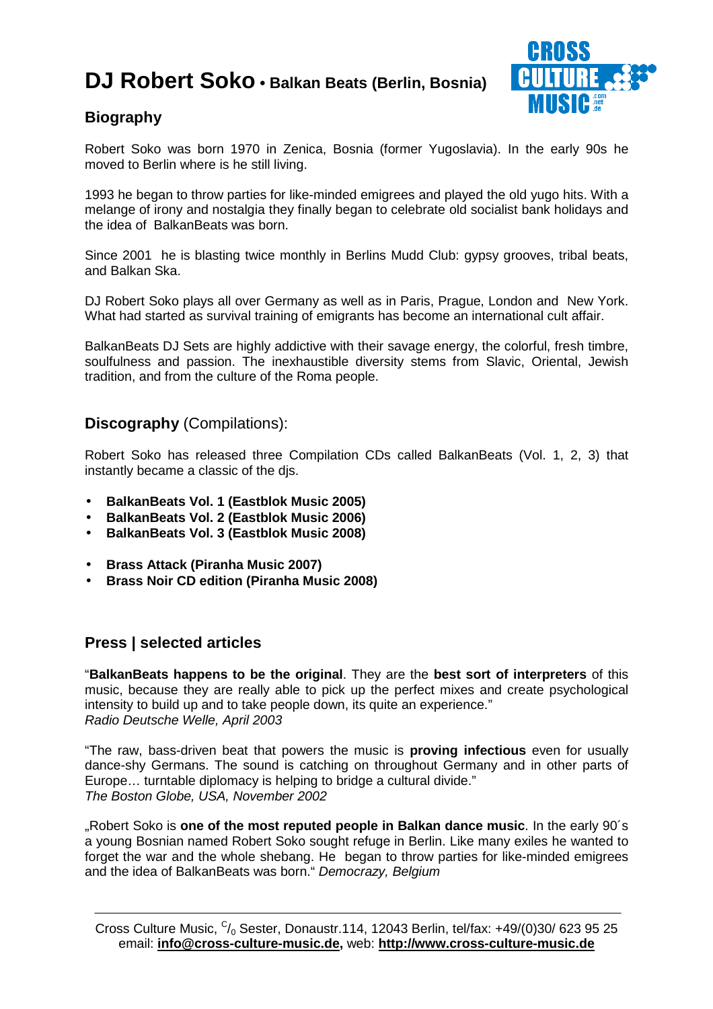# **DJ Robert Soko • Balkan Beats (Berlin, Bosnia)**



### **Biography**

Robert Soko was born 1970 in Zenica, Bosnia (former Yugoslavia). In the early 90s he moved to Berlin where is he still living.

1993 he began to throw parties for like-minded emigrees and played the old yugo hits. With a melange of irony and nostalgia they finally began to celebrate old socialist bank holidays and the idea of BalkanBeats was born.

Since 2001 he is blasting twice monthly in Berlins Mudd Club: gypsy grooves, tribal beats, and Balkan Ska.

DJ Robert Soko plays all over Germany as well as in Paris, Prague, London and New York. What had started as survival training of emigrants has become an international cult affair.

BalkanBeats DJ Sets are highly addictive with their savage energy, the colorful, fresh timbre, soulfulness and passion. The inexhaustible diversity stems from Slavic, Oriental, Jewish tradition, and from the culture of the Roma people.

#### **Discography** (Compilations):

Robert Soko has released three Compilation CDs called BalkanBeats (Vol. 1, 2, 3) that instantly became a classic of the djs.

- **BalkanBeats Vol. 1 (Eastblok Music 2005)**
- **BalkanBeats Vol. 2 (Eastblok Music 2006)**
- **BalkanBeats Vol. 3 (Eastblok Music 2008)**
- **Brass Attack (Piranha Music 2007)**
- **Brass Noir CD edition (Piranha Music 2008)**

#### **Press | selected articles**

"**BalkanBeats happens to be the original**. They are the **best sort of interpreters** of this music, because they are really able to pick up the perfect mixes and create psychological intensity to build up and to take people down, its quite an experience." Radio Deutsche Welle, April 2003

"The raw, bass-driven beat that powers the music is **proving infectious** even for usually dance-shy Germans. The sound is catching on throughout Germany and in other parts of Europe… turntable diplomacy is helping to bridge a cultural divide." The Boston Globe, USA, November 2002

"Robert Soko is **one of the most reputed people in Balkan dance music**. In the early 90´s a young Bosnian named Robert Soko sought refuge in Berlin. Like many exiles he wanted to forget the war and the whole shebang. He began to throw parties for like-minded emigrees and the idea of BalkanBeats was born." Democrazy, Belgium

Cross Culture Music,  $C/0$  Sester, Donaustr.114, 12043 Berlin, tel/fax: +49/(0)30/ 623 95 25 email: **info@cross-culture-music.de,** web: **http://www.cross-culture-music.de**